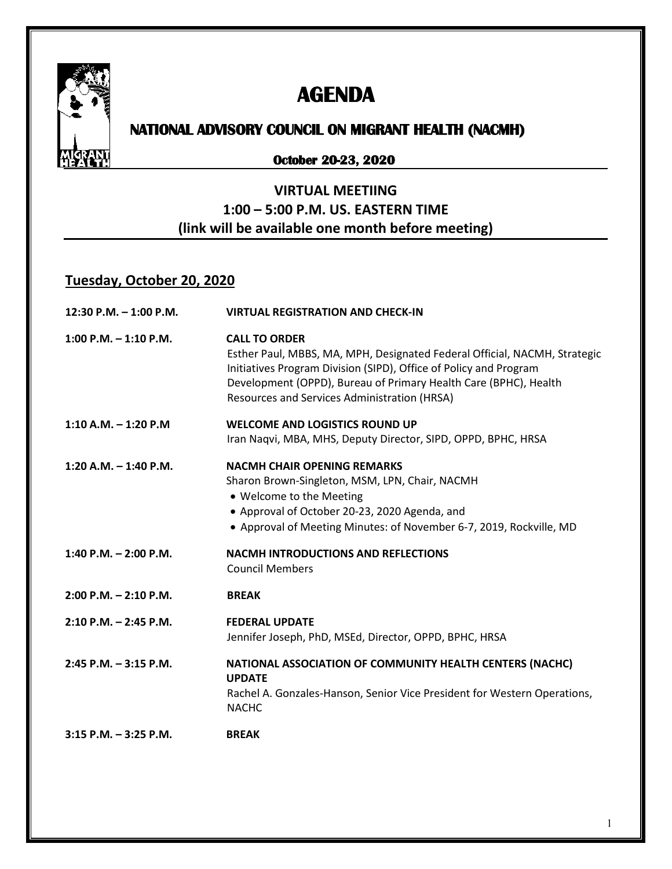

# **AGENDA**

# **NATIONAL ADVISORY COUNCIL ON MIGRANT HEALTH (NACMH)**

#### **October 20-23, 2020**

## **VIRTUAL MEETIING 1:00 – 5:00 P.M. US. EASTERN TIME (link will be available one month before meeting)**

### **Tuesday, October 20, 2020**

| $12:30$ P.M. $-1:00$ P.M. | <b>VIRTUAL REGISTRATION AND CHECK-IN</b>                                                                                                                                                                                                                                                   |
|---------------------------|--------------------------------------------------------------------------------------------------------------------------------------------------------------------------------------------------------------------------------------------------------------------------------------------|
| $1:00$ P.M. $-1:10$ P.M.  | <b>CALL TO ORDER</b><br>Esther Paul, MBBS, MA, MPH, Designated Federal Official, NACMH, Strategic<br>Initiatives Program Division (SIPD), Office of Policy and Program<br>Development (OPPD), Bureau of Primary Health Care (BPHC), Health<br>Resources and Services Administration (HRSA) |
| $1:10 A.M. - 1:20 P.M$    | <b>WELCOME AND LOGISTICS ROUND UP</b><br>Iran Naqvi, MBA, MHS, Deputy Director, SIPD, OPPD, BPHC, HRSA                                                                                                                                                                                     |
| $1:20$ A.M. $-1:40$ P.M.  | <b>NACMH CHAIR OPENING REMARKS</b><br>Sharon Brown-Singleton, MSM, LPN, Chair, NACMH<br>• Welcome to the Meeting<br>• Approval of October 20-23, 2020 Agenda, and<br>• Approval of Meeting Minutes: of November 6-7, 2019, Rockville, MD                                                   |
| 1:40 P.M. $-$ 2:00 P.M.   | <b>NACMH INTRODUCTIONS AND REFLECTIONS</b><br><b>Council Members</b>                                                                                                                                                                                                                       |
| $2:00$ P.M. $- 2:10$ P.M. | <b>BREAK</b>                                                                                                                                                                                                                                                                               |
| $2:10$ P.M. $- 2:45$ P.M. | <b>FEDERAL UPDATE</b><br>Jennifer Joseph, PhD, MSEd, Director, OPPD, BPHC, HRSA                                                                                                                                                                                                            |
| $2:45$ P.M. $-3:15$ P.M.  | NATIONAL ASSOCIATION OF COMMUNITY HEALTH CENTERS (NACHC)<br><b>UPDATE</b><br>Rachel A. Gonzales-Hanson, Senior Vice President for Western Operations,<br><b>NACHC</b>                                                                                                                      |
| $3:15$ P.M. $-3:25$ P.M.  | <b>BREAK</b>                                                                                                                                                                                                                                                                               |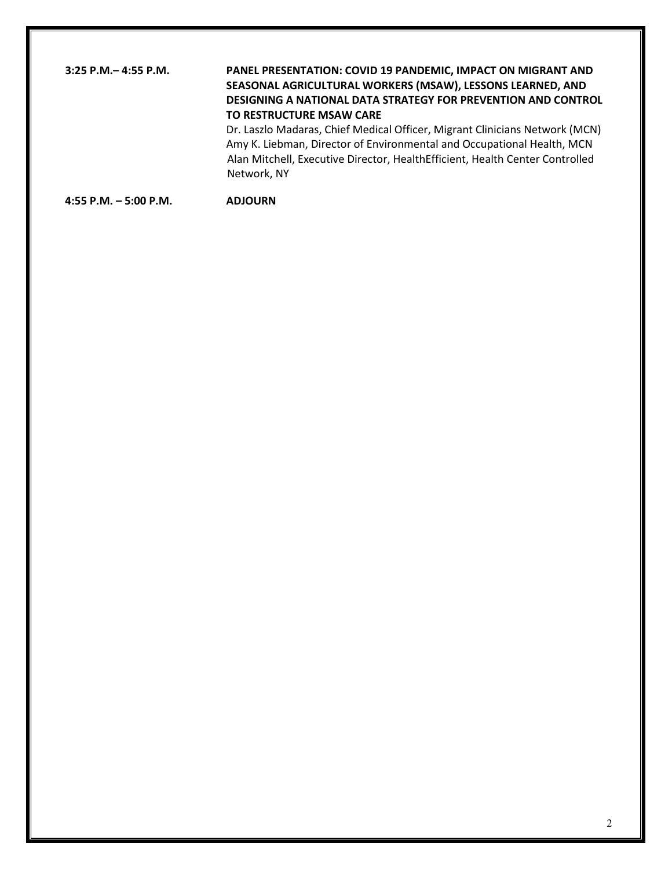#### **3:25 P.M.– 4:55 P.M. PANEL PRESENTATION: COVID 19 PANDEMIC, IMPACT ON MIGRANT AND SEASONAL AGRICULTURAL WORKERS (MSAW), LESSONS LEARNED, AND DESIGNING A NATIONAL DATA STRATEGY FOR PREVENTION AND CONTROL TO RESTRUCTURE MSAW CARE**  Dr. Laszlo Madaras, Chief Medical Officer, Migrant Clinicians Network (MCN)

Amy K. Liebman, Director of Environmental and Occupational Health, MCN Alan Mitchell, Executive Director, HealthEfficient, Health Center Controlled Network, NY

**4:55 P.M. – 5:00 P.M. ADJOURN**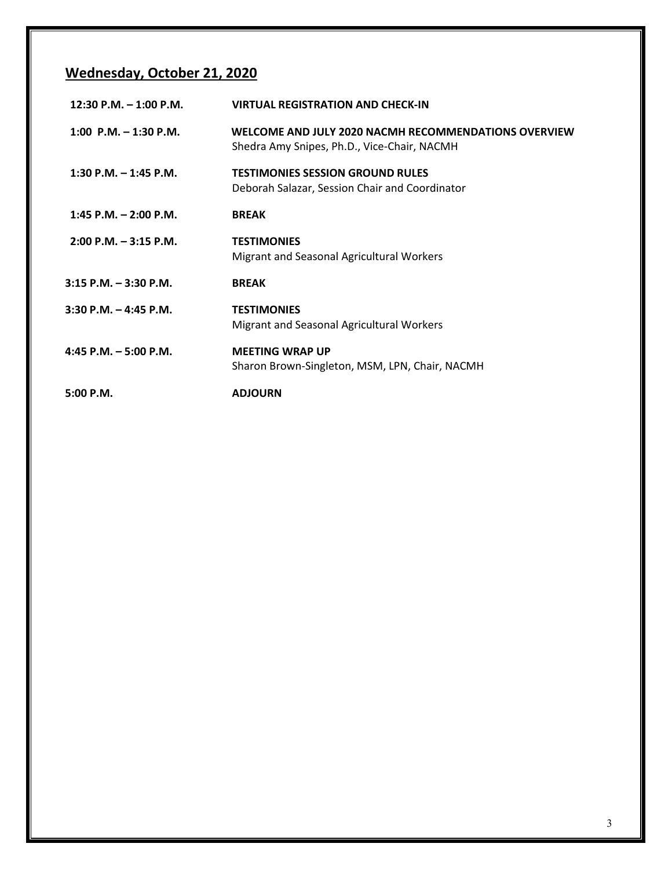# **Wednesday, October 21, 2020**

| 12:30 P.M. $-$ 1:00 P.M.  | <b>VIRTUAL REGISTRATION AND CHECK-IN</b>                                                            |
|---------------------------|-----------------------------------------------------------------------------------------------------|
| 1:00 P.M. $-$ 1:30 P.M.   | WELCOME AND JULY 2020 NACMH RECOMMENDATIONS OVERVIEW<br>Shedra Amy Snipes, Ph.D., Vice-Chair, NACMH |
| 1:30 P.M. $-$ 1:45 P.M.   | <b>TESTIMONIES SESSION GROUND RULES</b><br>Deborah Salazar, Session Chair and Coordinator           |
| $1:45$ P.M. $- 2:00$ P.M. | <b>BREAK</b>                                                                                        |
| $2:00$ P.M. $-3:15$ P.M.  | <b>TESTIMONIES</b><br>Migrant and Seasonal Agricultural Workers                                     |
| $3:15$ P.M. $-3:30$ P.M.  | <b>BREAK</b>                                                                                        |
| $3:30$ P.M. $-4:45$ P.M.  | <b>TESTIMONIES</b><br>Migrant and Seasonal Agricultural Workers                                     |
| 4:45 P.M. $-$ 5:00 P.M.   | <b>MEETING WRAP UP</b><br>Sharon Brown-Singleton, MSM, LPN, Chair, NACMH                            |
| 5:00 P.M.                 | <b>ADJOURN</b>                                                                                      |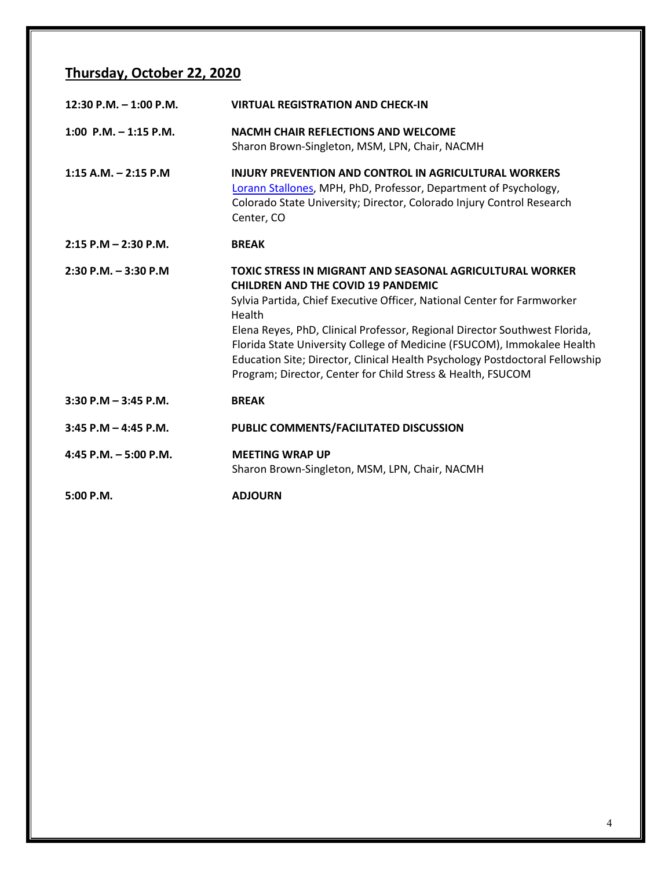# **Thursday, October 22, 2020**

| 12:30 P.M. $-$ 1:00 P.M. | <b>VIRTUAL REGISTRATION AND CHECK-IN</b>                                                                                                                                                                                                                                                                                                                                                                                                                                                           |
|--------------------------|----------------------------------------------------------------------------------------------------------------------------------------------------------------------------------------------------------------------------------------------------------------------------------------------------------------------------------------------------------------------------------------------------------------------------------------------------------------------------------------------------|
| 1:00 P.M. $-$ 1:15 P.M.  | NACMH CHAIR REFLECTIONS AND WELCOME<br>Sharon Brown-Singleton, MSM, LPN, Chair, NACMH                                                                                                                                                                                                                                                                                                                                                                                                              |
| $1:15$ A.M. $- 2:15$ P.M | <b>INJURY PREVENTION AND CONTROL IN AGRICULTURAL WORKERS</b><br>Lorann Stallones, MPH, PhD, Professor, Department of Psychology,<br>Colorado State University; Director, Colorado Injury Control Research<br>Center, CO                                                                                                                                                                                                                                                                            |
| $2:15$ P.M $- 2:30$ P.M. | <b>BREAK</b>                                                                                                                                                                                                                                                                                                                                                                                                                                                                                       |
| $2:30$ P.M. $-3:30$ P.M. | TOXIC STRESS IN MIGRANT AND SEASONAL AGRICULTURAL WORKER<br><b>CHILDREN AND THE COVID 19 PANDEMIC</b><br>Sylvia Partida, Chief Executive Officer, National Center for Farmworker<br>Health<br>Elena Reyes, PhD, Clinical Professor, Regional Director Southwest Florida,<br>Florida State University College of Medicine (FSUCOM), Immokalee Health<br>Education Site; Director, Clinical Health Psychology Postdoctoral Fellowship<br>Program; Director, Center for Child Stress & Health, FSUCOM |
| $3:30$ P.M $-$ 3:45 P.M. | <b>BREAK</b>                                                                                                                                                                                                                                                                                                                                                                                                                                                                                       |
| $3:45$ P.M $-$ 4:45 P.M. | PUBLIC COMMENTS/FACILITATED DISCUSSION                                                                                                                                                                                                                                                                                                                                                                                                                                                             |
| 4:45 P.M. $-5:00$ P.M.   | <b>MEETING WRAP UP</b><br>Sharon Brown-Singleton, MSM, LPN, Chair, NACMH                                                                                                                                                                                                                                                                                                                                                                                                                           |
| 5:00 P.M.                | <b>ADJOURN</b>                                                                                                                                                                                                                                                                                                                                                                                                                                                                                     |